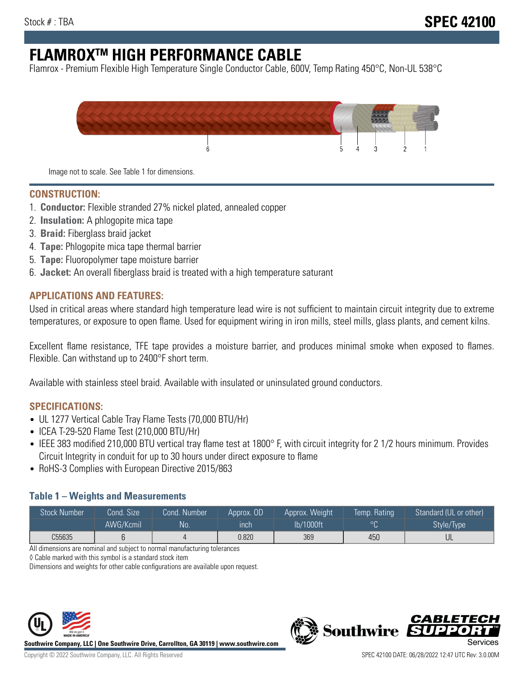# **FLAMROXTM HIGH PERFORMANCE CABLE**

Flamrox - Premium Flexible High Temperature Single Conductor Cable, 600V, Temp Rating 450°C, Non-UL 538°C



Image not to scale. See Table 1 for dimensions.

#### **CONSTRUCTION:**

- 1. **Conductor:** Flexible stranded 27% nickel plated, annealed copper
- 2. **Insulation:** A phlogopite mica tape
- 3. **Braid:** Fiberglass braid jacket
- 4. **Tape:** Phlogopite mica tape thermal barrier
- 5. **Tape:** Fluoropolymer tape moisture barrier
- 6. **Jacket:** An overall fiberglass braid is treated with a high temperature saturant

#### **APPLICATIONS AND FEATURES:**

Used in critical areas where standard high temperature lead wire is not sufficient to maintain circuit integrity due to extreme temperatures, or exposure to open flame. Used for equipment wiring in iron mills, steel mills, glass plants, and cement kilns.

Excellent flame resistance, TFE tape provides a moisture barrier, and produces minimal smoke when exposed to flames. Flexible. Can withstand up to 2400°F short term.

Available with stainless steel braid. Available with insulated or uninsulated ground conductors.

#### **SPECIFICATIONS:**

- UL 1277 Vertical Cable Tray Flame Tests (70,000 BTU/Hr)
- ICEA T-29-520 Flame Test (210,000 BTU/Hr)
- IEEE 383 modified 210,000 BTU vertical tray flame test at 1800° F, with circuit integrity for 2 1/2 hours minimum. Provides Circuit Integrity in conduit for up to 30 hours under direct exposure to flame
- RoHS-3 Complies with European Directive 2015/863

#### **Table 1 – Weights and Measurements**

| <b>Stock Number</b> | Cond. Size | Cond. Number | Approx. OD | Approx. Weight | Temp. Rating | Standard (UL or other)  |
|---------------------|------------|--------------|------------|----------------|--------------|-------------------------|
|                     | AWG/Kcmil  | <b>No</b>    | inch       | lb/1000ft      | $\circ$      | Style/Type <sup>1</sup> |
| C55635              |            |              | 0.820      | 369            | 450          | UL                      |

All dimensions are nominal and subject to normal manufacturing tolerances

◊ Cable marked with this symbol is a standard stock item

Dimensions and weights for other cable configurations are available upon request.



**Southwire Company, LLC | One Southwire Drive, Carrollton, GA 30119 | www.southwire.com**